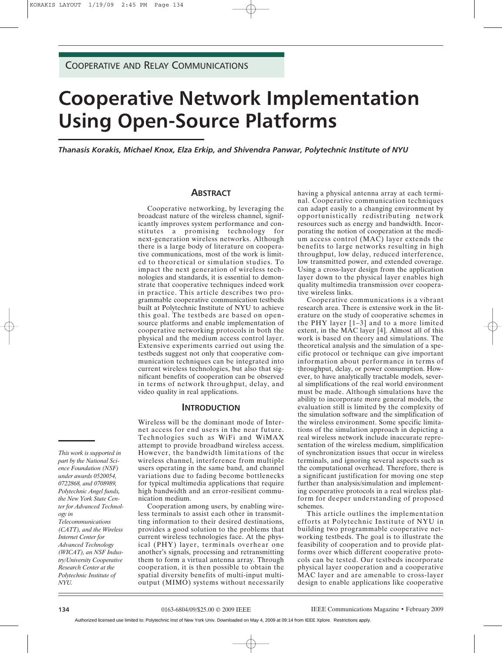# **Cooperative Network Implementation Using Open-Source Platforms**

*Thanasis Korakis, Michael Knox, Elza Erkip, and Shivendra Panwar, Polytechnic Institute of NYU*

## **ABSTRACT**

Cooperative networking, by leveraging the broadcast nature of the wireless channel, significantly improves system performance and constitutes a promising technology for next-generation wireless networks. Although there is a large body of literature on cooperative communications, most of the work is limited to theoretical or simulation studies. To impact the next generation of wireless technologies and standards, it is essential to demonstrate that cooperative techniques indeed work in practice. This article describes two programmable cooperative communication testbeds built at Polytechnic Institute of NYU to achieve this goal. The testbeds are based on opensource platforms and enable implementation of cooperative networking protocols in both the physical and the medium access control layer. Extensive experiments carried out using the testbeds suggest not only that cooperative communication techniques can be integrated into current wireless technologies, but also that significant benefits of cooperation can be observed in terms of network throughput, delay, and video quality in real applications.

### **INTRODUCTION**

Wireless will be the dominant mode of Internet access for end users in the near future. Technologies such as WiFi and WiMAX attempt to provide broadband wireless access. However, the bandwidth limitations of the wireless channel, interference from multiple users operating in the same band, and channel variations due to fading become bottlenecks for typical multimedia applications that require high bandwidth and an error-resilient communication medium.

Cooperation among users, by enabling wireless terminals to assist each other in transmitting information to their desired destinations, provides a good solution to the problems that current wireless technologies face. At the physical (PHY) layer, terminals overhear one another's signals, processing and retransmitting them to form a virtual antenna array. Through cooperation, it is then possible to obtain the spatial diversity benefits of multi-input multioutput (MIMO) systems without necessarily having a physical antenna array at each terminal. Cooperative communication techniques can adapt easily to a changing environment by opportunistically redistributing network resources such as energy and bandwidth. Incorporating the notion of cooperation at the medium access control (MAC) layer extends the benefits to large networks resulting in high throughput, low delay, reduced interference, low transmitted power, and extended coverage. Using a cross-layer design from the application layer down to the physical layer enables high quality multimedia transmission over cooperative wireless links.

Cooperative communications is a vibrant research area. There is extensive work in the literature on the study of cooperative schemes in the PHY layer [1–3] and to a more limited extent, in the MAC layer [4]. Almost all of this work is based on theory and simulations. The theoretical analysis and the simulation of a specific protocol or technique can give important information about performance in terms of throughput, delay, or power consumption. However, to have analytically tractable models, several simplifications of the real world environment must be made. Although simulations have the ability to incorporate more general models, the evaluation still is limited by the complexity of the simulation software and the simplification of the wireless environment. Some specific limitations of the simulation approach in depicting a real wireless network include inaccurate representation of the wireless medium, simplification of synchronization issues that occur in wireless terminals, and ignoring several aspects such as the computational overhead. Therefore, there is a significant justification for moving one step further than analysis/simulation and implementing cooperative protocols in a real wireless platform for deeper understanding of proposed schemes.

This article outlines the implementation efforts at Polytechnic Institute of NYU in building two programmable cooperative networking testbeds. The goal is to illustrate the feasibility of cooperation and to provide platforms over which different cooperative protocols can be tested. Our testbeds incorporate physical layer cooperation and a cooperative MAC layer and are amenable to cross-layer design to enable applications like cooperative

*This work is supported in part by the National Science Foundation (NSF) under awards 0520054, 0722868, and 0708989, Polytechnic Angel funds, the New York State Center for Advanced Technology in Telecommunications (CATT), and the Wireless Internet Center for Advanced Technology (WICAT), an NSF Industry/University Cooperative*

*Research Center at the Polytechnic Institute of*

*NYU.*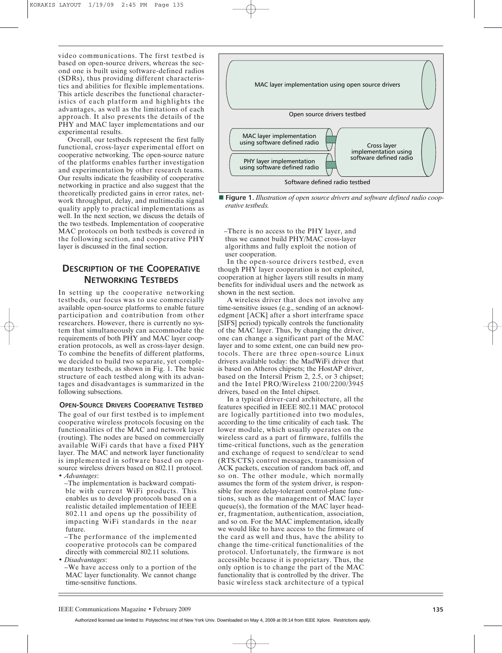video communications. The first testbed is based on open-source drivers, whereas the second one is built using software-defined radios (SDRs), thus providing different characteristics and abilities for flexible implementations. This article describes the functional characteristics of each platform and highlights the advantages, as well as the limitations of each approach. It also presents the details of the PHY and MAC layer implementations and our experimental results.

Overall, our testbeds represent the first fully functional, cross-layer experimental effort on cooperative networking. The open-source nature of the platforms enables further investigation and experimentation by other research teams. Our results indicate the feasibility of cooperative networking in practice and also suggest that the theoretically predicted gains in error rates, network throughput, delay, and multimedia signal quality apply to practical implementations as well. In the next section, we discuss the details of the two testbeds. Implementation of cooperative MAC protocols on both testbeds is covered in the following section, and cooperative PHY layer is discussed in the final section.

## **DESCRIPTION OF THE COOPERATIVE NETWORKING TESTBEDS**

In setting up the cooperative networking testbeds, our focus was to use commercially available open-source platforms to enable future participation and contribution from other researchers. However, there is currently no system that simultaneously can accommodate the requirements of both PHY and MAC layer cooperation protocols, as well as cross-layer design. To combine the benefits of different platforms, we decided to build two separate, yet complementary testbeds, as shown in Fig. 1. The basic structure of each testbed along with its advantages and disadvantages is summarized in the following subsections.

### **OPEN-SOURCE DRIVERS COOPERATIVE TESTBED**

The goal of our first testbed is to implement cooperative wireless protocols focusing on the functionalities of the MAC and network layer (routing). The nodes are based on commercially available WiFi cards that have a fixed PHY layer. The MAC and network layer functionality is implemented in software based on opensource wireless drivers based on 802.11 protocol. • *Advantages*:

–The implementation is backward compatible with current WiFi products. This enables us to develop protocols based on a realistic detailed implementation of IEEE 802.11 and opens up the possibility of impacting WiFi standards in the near future.

–The performance of the implemented cooperative protocols can be compared directly with commercial 802.11 solutions. • *Disadvantages*:

–We have access only to a portion of the MAC layer functionality. We cannot change time-sensitive functions.



■ Figure 1. *Illustration of open source drivers and software defined radio cooperative testbeds.*

–There is no access to the PHY layer, and thus we cannot build PHY/MAC cross-layer algorithms and fully exploit the notion of user cooperation.

In the open-source drivers testbed, even though PHY layer cooperation is not exploited, cooperation at higher layers still results in many benefits for individual users and the network as shown in the next section.

A wireless driver that does not involve any time-sensitive issues (e.g., sending of an acknowledgment [ACK] after a short interframe space [SIFS] period) typically controls the functionality of the MAC layer. Thus, by changing the driver, one can change a significant part of the MAC layer and to some extent, one can build new protocols. There are three open-source Linux drivers available today: the MadWiFi driver that is based on Atheros chipsets; the HostAP driver, based on the Intersil Prism 2, 2.5, or 3 chipset; and the Intel PRO/Wireless 2100/2200/3945 drivers, based on the Intel chipset.

In a typical driver-card architecture, all the features specified in IEEE 802.11 MAC protocol are logically partitioned into two modules, according to the time criticality of each task. The lower module, which usually operates on the wireless card as a part of firmware, fulfills the time-critical functions, such as the generation and exchange of request to send/clear to send (RTS/CTS) control messages, transmission of ACK packets, execution of random back off, and so on. The other module, which normally assumes the form of the system driver, is responsible for more delay-tolerant control-plane functions, such as the management of MAC layer queue(s), the formation of the MAC layer header, fragmentation, authentication, association, and so on. For the MAC implementation, ideally we would like to have access to the firmware of the card as well and thus, have the ability to change the time-critical functionalities of the protocol. Unfortunately, the firmware is not accessible because it is proprietary. Thus, the only option is to change the part of the MAC functionality that is controlled by the driver. The basic wireless stack architecture of a typical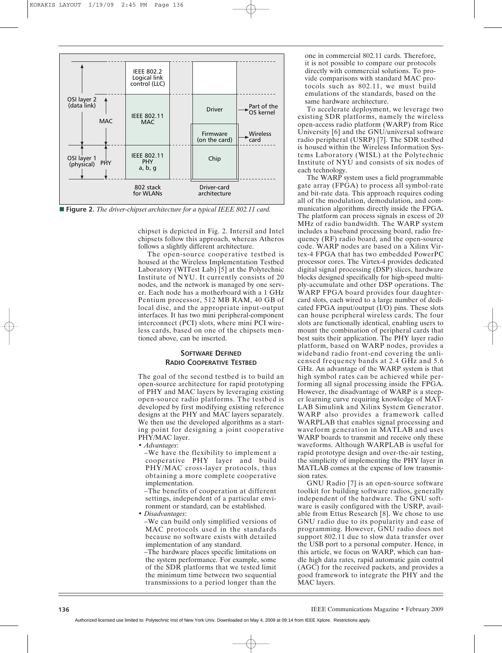

■ **Figure 2.** *The driver-chipset architecture for a typical IEEE 802.11 card.* 

chipset is depicted in Fig. 2. Intersil and Intel chipsets follow this approach, whereas Atheros follows a slightly different architecture.

The open-source cooperative testbed is housed at the Wireless Implementation Testbed Laboratory (WITest Lab) [5] at the Polytechnic Institute of NYU. It currently consists of 20 nodes, and the network is managed by one server. Each node has a motherboard with a 1 GHz Pentium processor, 512 MB RAM, 40 GB of local disc, and the appropriate input-output interfaces. It has two mini peripheral-component interconnect (PCI) slots, where mini PCI wireless cards, based on one of the chipsets mentioned above, can be inserted.

## **SOFTWARE DEFINED RADIO COOPERATIVE TESTBED**

The goal of the second testbed is to build an open-source architecture for rapid prototyping of PHY and MAC layers by leveraging existing open-source radio platforms. The testbed is developed by first modifying existing reference designs at the PHY and MAC layers separately. We then use the developed algorithms as a starting point for designing a joint cooperative PHY/MAC layer.

• *Advantages*:

–We have the flexibility to implement a cooperative PHY layer and build PHY/MAC cross-layer protocols, thus obtaining a more complete cooperative implementation.

–The benefits of cooperation at different settings, independent of a particular environment or standard, can be established.

• *Disadvantages*:

–We can build only simplified versions of MAC protocols used in the standards because no software exists with detailed implementation of any standard.

–The hardware places specific limitations on the system performance. For example, some of the SDR platforms that we tested limit the minimum time between two sequential transmissions to a period longer than the

one in commercial 802.11 cards. Therefore, it is not possible to compare our protocols directly with commercial solutions. To provide comparisons with standard MAC protocols such as 802.11, we must build emulations of the standards, based on the same hardware architecture.

To accelerate deployment, we leverage two existing SDR platforms, namely the wireless open-access radio platform (WARP) from Rice University [6] and the GNU/universal software radio peripheral (USRP) [7]. The SDR testbed is housed within the Wireless Information Systems Laboratory (WISL) at the Polytechnic Institute of NYU and consists of six nodes of each technology.

The WARP system uses a field programmable gate array (FPGA) to process all symbol-rate and bit-rate data. This approach requires coding all of the modulation, demodulation, and communication algorithms directly inside the FPGA. The platform can process signals in excess of 20 MHz of radio bandwidth. The WARP system includes a baseband processing board, radio frequency (RF) radio board, and the open-source code. WARP nodes are based on a Xilinx Virtex-4 FPGA that has two embedded PowerPC processor cores. The Virtex-4 provides dedicated digital signal processing (DSP) slices, hardware blocks designed specifically for high-speed multiply-accumulate and other DSP operations. The WARP FPGA board provides four daughtercard slots, each wired to a large number of dedicated FPGA input/output (I/O) pins. These slots can house peripheral wireless cards. The four slots are functionally identical, enabling users to mount the combination of peripheral cards that best suits their application. The PHY layer radio platform, based on WARP nodes, provides a wideband radio front-end covering the unlicensed frequency bands at 2.4 GHz and 5.6 GHz. An advantage of the WARP system is that high symbol rates can be achieved while performing all signal processing inside the FPGA. However, the disadvantage of WARP is a steeper learning curve requiring knowledge of MAT-LAB Simulink and Xilinx System Generator. WARP also provides a framework called WARPLAB that enables signal processing and waveform generation in MATLAB and uses WARP boards to transmit and receive only these waveforms. Although WARPLAB is useful for rapid prototype design and over-the-air testing, the simplicity of implementing the PHY layer in MATLAB comes at the expense of low transmission rates

GNU Radio [7] is an open-source software toolkit for building software radios, generally independent of the hardware. The GNU software is easily configured with the USRP, available from Ettus Research [8]. We chose to use GNU radio due to its popularity and ease of programming. However, GNU radio does not support 802.11 due to slow data transfer over the USB port to a personal computer. Hence, in this article, we focus on WARP, which can handle high data rates, rapid automatic gain control (AGC) for the received packets, and provides a good framework to integrate the PHY and the MAC layers.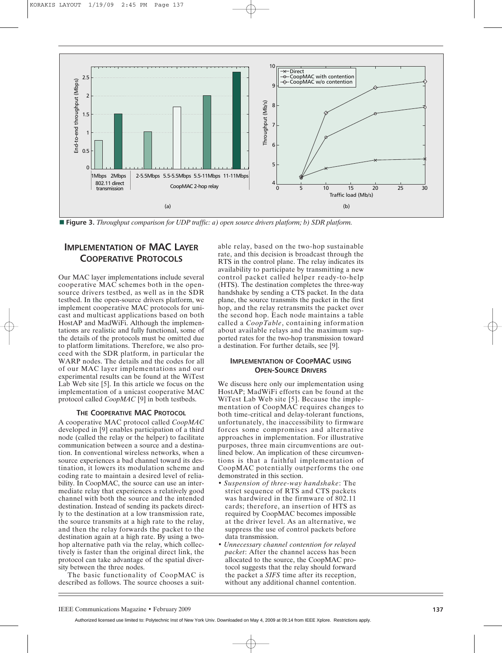

n **Figure 3.** *Throughput comparison for UDP traffic: a) open source drivers platform; b) SDR platform.*

# **IMPLEMENTATION OF MAC LAYER COOPERATIVE PROTOCOLS**

Our MAC layer implementations include several cooperative MAC schemes both in the opensource drivers testbed, as well as in the SDR testbed. In the open-source drivers platform, we implement cooperative MAC protocols for unicast and multicast applications based on both HostAP and MadWiFi. Although the implementations are realistic and fully functional, some of the details of the protocols must be omitted due to platform limitations. Therefore, we also proceed with the SDR platform, in particular the WARP nodes. The details and the codes for all of our MAC layer implementations and our experimental results can be found at the WiTest Lab Web site [5]. In this article we focus on the implementation of a unicast cooperative MAC protocol called *CoopMAC* [9] in both testbeds.

### **THE COOPERATIVE MAC PROTOCOL**

A cooperative MAC protocol called *CoopMAC* developed in [9] enables participation of a third node (called the relay or the helper) to facilitate communication between a source and a destination. In conventional wireless networks, when a source experiences a bad channel toward its destination, it lowers its modulation scheme and coding rate to maintain a desired level of reliability. In CoopMAC, the source can use an intermediate relay that experiences a relatively good channel with both the source and the intended destination. Instead of sending its packets directly to the destination at a low transmission rate, the source transmits at a high rate to the relay, and then the relay forwards the packet to the destination again at a high rate. By using a twohop alternative path via the relay, which collectively is faster than the original direct link, the protocol can take advantage of the spatial diversity between the three nodes.

The basic functionality of CoopMAC is described as follows. The source chooses a suitable relay, based on the two-hop sustainable rate, and this decision is broadcast through the RTS in the control plane. The relay indicates its availability to participate by transmitting a new control packet called helper ready-to-help (HTS). The destination completes the three-way handshake by sending a CTS packet. In the data plane, the source transmits the packet in the first hop, and the relay retransmits the packet over the second hop. Each node maintains a table called a *CoopTable*, containing information about available relays and the maximum supported rates for the two-hop transmission toward a destination. For further details, see [9].

## **IMPLEMENTATION OF COOPMAC USING OPEN-SOURCE DRIVERS**

We discuss here only our implementation using HostAP; MadWiFi efforts can be found at the WiTest Lab Web site [5]. Because the implementation of CoopMAC requires changes to both time-critical and delay-tolerant functions, unfortunately, the inaccessibility to firmware forces some compromises and alternative approaches in implementation. For illustrative purposes, three main circumventions are outlined below. An implication of these circumventions is that a faithful implementation of CoopMAC potentially outperforms the one demonstrated in this section.

- *Suspension of three-way handshake*: The strict sequence of RTS and CTS packets was hardwired in the firmware of 802.11 cards; therefore, an insertion of HTS as required by CoopMAC becomes impossible at the driver level. As an alternative, we suppress the use of control packets before data transmission.
- *Unnecessary channel contention for relayed packet*: After the channel access has been allocated to the source, the CoopMAC protocol suggests that the relay should forward the packet a *SIFS* time after its reception, without any additional channel contention.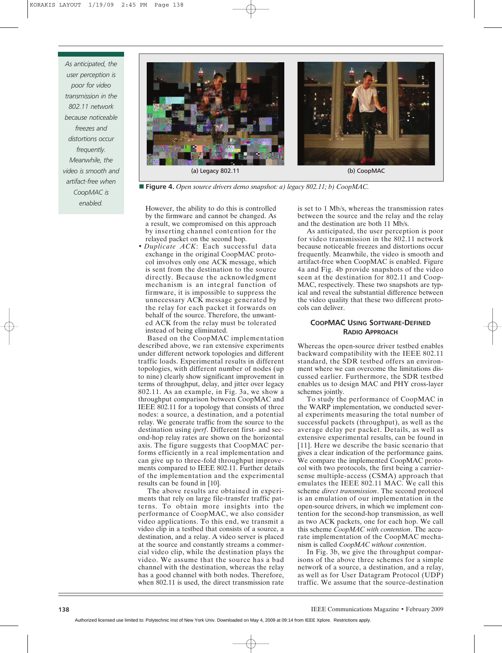*As anticipated, the user perception is poor for video transmission in the 802.11 network because noticeable freezes and distortions occur frequently. Meanwhile, the video is smooth and artifact-free when CoopMAC is enabled.*



■ Figure 4. *Open source drivers demo snapshot: a) legacy 802.11; b) CoopMAC.* 

However, the ability to do this is controlled by the firmware and cannot be changed. As a result, we compromised on this approach by inserting channel contention for the relayed packet on the second hop.

• *Duplicate ACK*: Each successful data exchange in the original CoopMAC protocol involves only one ACK message, which is sent from the destination to the source directly. Because the acknowledgment mechanism is an integral function of firmware, it is impossible to suppress the unnecessary ACK message generated by the relay for each packet it forwards on behalf of the source. Therefore, the unwanted ACK from the relay must be tolerated instead of being eliminated.

Based on the CoopMAC implementation described above, we ran extensive experiments under different network topologies and different traffic loads. Experimental results in different topologies, with different number of nodes (up to nine) clearly show significant improvement in terms of throughput, delay, and jitter over legacy 802.11. As an example, in Fig. 3a, we show a throughput comparison between CoopMAC and IEEE 802.11 for a topology that consists of three nodes: a source, a destination, and a potential relay. We generate traffic from the source to the destination using *iperf*. Different first- and second-hop relay rates are shown on the horizontal axis. The figure suggests that CoopMAC performs efficiently in a real implementation and can give up to three-fold throughput improvements compared to IEEE 802.11. Further details of the implementation and the experimental results can be found in [10].

The above results are obtained in experiments that rely on large file-transfer traffic patterns. To obtain more insights into the performance of CoopMAC, we also consider video applications. To this end, we transmit a video clip in a testbed that consists of a source, a destination, and a relay. A video server is placed at the source and constantly streams a commercial video clip, while the destination plays the video. We assume that the source has a bad channel with the destination, whereas the relay has a good channel with both nodes. Therefore, when 802.11 is used, the direct transmission rate is set to 1 Mb/s, whereas the transmission rates between the source and the relay and the relay and the destination are both 11 Mb/s.

As anticipated, the user perception is poor for video transmission in the 802.11 network because noticeable freezes and distortions occur frequently. Meanwhile, the video is smooth and artifact-free when CoopMAC is enabled. Figure 4a and Fig. 4b provide snapshots of the video seen at the destination for 802.11 and Coop-MAC, respectively. These two snapshots are typical and reveal the substantial difference between the video quality that these two different protocols can deliver.

## **COOPMAC USING SOFTWARE-DEFINED RADIO APPROACH**

Whereas the open-source driver testbed enables backward compatibility with the IEEE 802.11 standard, the SDR testbed offers an environment where we can overcome the limitations discussed earlier. Furthermore, the SDR testbed enables us to design MAC and PHY cross-layer schemes jointly.

To study the performance of CoopMAC in the WARP implementation, we conducted several experiments measuring the total number of successful packets (throughput), as well as the average delay per packet. Details, as well as extensive experimental results, can be found in [11]. Here we describe the basic scenario that gives a clear indication of the performance gains. We compare the implemented CoopMAC protocol with two protocols, the first being a carriersense multiple-access (CSMA) approach that emulates the IEEE 802.11 MAC. We call this scheme *direct transmission*. The second protocol is an emulation of our implementation in the open-source drivers, in which we implement contention for the second-hop transmission, as well as two ACK packets, one for each hop. We call this scheme *CoopMAC with contention*. The accurate implementation of the CoopMAC mechanism is called *CoopMAC without contention*.

In Fig. 3b, we give the throughput comparisons of the above three schemes for a simple network of a source, a destination, and a relay, as well as for User Datagram Protocol (UDP) traffic. We assume that the source-destination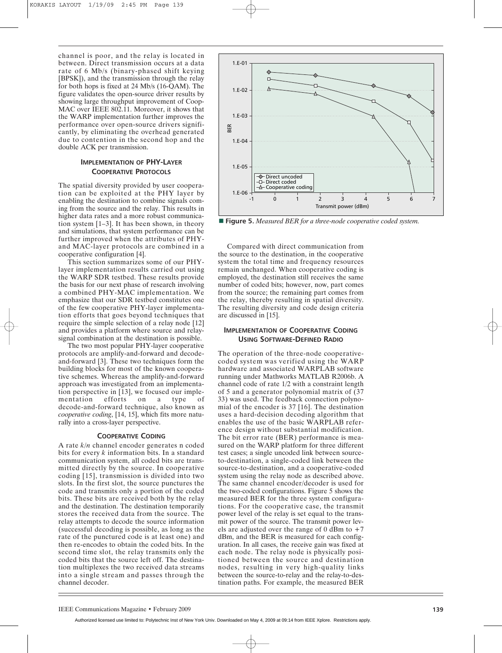channel is poor, and the relay is located in between. Direct transmission occurs at a data rate of 6 Mb/s (binary-phased shift keying [BPSK]), and the transmission through the relay for both hops is fixed at 24 Mb/s (16-QAM). The figure validates the open-source driver results by showing large throughput improvement of Coop-MAC over IEEE 802.11. Moreover, it shows that the WARP implementation further improves the performance over open-source drivers significantly, by eliminating the overhead generated due to contention in the second hop and the double ACK per transmission.

## **IMPLEMENTATION OF PHY-LAYER COOPERATIVE PROTOCOLS**

The spatial diversity provided by user cooperation can be exploited at the PHY layer by enabling the destination to combine signals coming from the source and the relay. This results in higher data rates and a more robust communication system [1–3]. It has been shown, in theory and simulations, that system performance can be further improved when the attributes of PHYand MAC-layer protocols are combined in a cooperative configuration [4].

This section summarizes some of our PHYlayer implementation results carried out using the WARP SDR testbed. These results provide the basis for our next phase of research involving a combined PHY-MAC implementation. We emphasize that our SDR testbed constitutes one of the few cooperative PHY-layer implementation efforts that goes beyond techniques that require the simple selection of a relay node [12] and provides a platform where source and relaysignal combination at the destination is possible.

The two most popular PHY-layer cooperative protocols are amplify-and-forward and decodeand-forward [3]. These two techniques form the building blocks for most of the known cooperative schemes. Whereas the amplify-and-forward approach was investigated from an implementation perspective in [13], we focused our implementation efforts on a type of decode-and-forward technique, also known as *cooperative coding*, [14, 15], which fits more naturally into a cross-layer perspective.

### **COOPERATIVE CODING**

A rate *k*/*n* channel encoder generates n coded bits for every *k* information bits. In a standard communication system, all coded bits are transmitted directly by the source. In cooperative coding [15], transmission is divided into two slots. In the first slot, the source punctures the code and transmits only a portion of the coded bits. These bits are received both by the relay and the destination. The destination temporarily stores the received data from the source. The relay attempts to decode the source information (successful decoding is possible, as long as the rate of the punctured code is at least one) and then re-encodes to obtain the coded bits. In the second time slot, the relay transmits only the coded bits that the source left off. The destination multiplexes the two received data streams into a single stream and passes through the channel decoder.



n **Figure 5.** *Measured BER for a three-node cooperative coded system.*

Compared with direct communication from the source to the destination, in the cooperative system the total time and frequency resources remain unchanged. When cooperative coding is employed, the destination still receives the same number of coded bits; however, now, part comes from the source; the remaining part comes from the relay, thereby resulting in spatial diversity. The resulting diversity and code design criteria are discussed in [15].

## **IMPLEMENTATION OF COOPERATIVE CODING USING SOFTWARE-DEFINED RADIO**

The operation of the three-node cooperativecoded system was verified using the WARP hardware and associated WARPLAB software running under Mathworks MATLAB R2006b. A channel code of rate 1/2 with a constraint length of 5 and a generator polynomial matrix of (37 33) was used. The feedback connection polynomial of the encoder is 37 [16]. The destination uses a hard-decision decoding algorithm that enables the use of the basic WARPLAB reference design without substantial modification. The bit error rate (BER) performance is measured on the WARP platform for three different test cases; a single uncoded link between sourceto-destination, a single-coded link between the source-to-destination, and a cooperative-coded system using the relay node as described above. The same channel encoder/decoder is used for the two-coded configurations. Figure 5 shows the measured BER for the three system configurations. For the cooperative case, the transmit power level of the relay is set equal to the transmit power of the source. The transmit power levels are adjusted over the range of 0 dBm to  $+7$ dBm, and the BER is measured for each configuration. In all cases, the receive gain was fixed at each node. The relay node is physically positioned between the source and destination nodes, resulting in very high-quality links between the source-to-relay and the relay-to-destination paths. For example, the measured BER

Authorized licensed use limited to: Polytechnic Inst of New York Univ. Downloaded on May 4, 2009 at 09:14 from IEEE Xplore. Restrictions apply.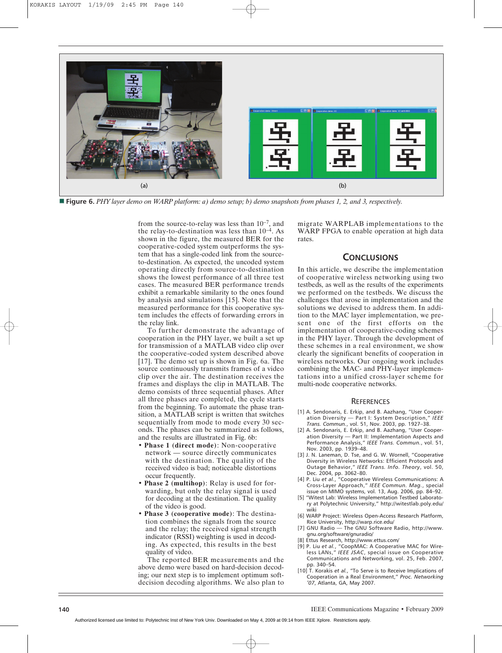

n **Figure 6.** *PHY layer demo on WARP platform: a) demo setup; b) demo snapshots from phases 1, 2, and 3, respectively.*

from the source-to-relay was less than 10–7, and the relay-to-destination was less than 10–4. As shown in the figure, the measured BER for the cooperative-coded system outperforms the system that has a single-coded link from the sourceto-destination. As expected, the uncoded system operating directly from source-to-destination shows the lowest performance of all three test cases. The measured BER performance trends exhibit a remarkable similarity to the ones found by analysis and simulations [15]. Note that the measured performance for this cooperative system includes the effects of forwarding errors in the relay link.

To further demonstrate the advantage of cooperation in the PHY layer, we built a set up for transmission of a MATLAB video clip over the cooperative-coded system described above [17]. The demo set up is shown in Fig. 6a. The source continuously transmits frames of a video clip over the air. The destination receives the frames and displays the clip in MATLAB. The demo consists of three sequential phases. After all three phases are completed, the cycle starts from the beginning. To automate the phase transition, a MATLAB script is written that switches sequentially from mode to mode every 30 seconds. The phases can be summarized as follows, and the results are illustrated in Fig. 6b:

- **Phase 1 (direct mode)**: Non-cooperative network — source directly communicates with the destination. The quality of the received video is bad; noticeable distortions occur frequently.
- **Phase 2 (multihop)**: Relay is used for forwarding, but only the relay signal is used for decoding at the destination. The quality of the video is good.
- **Phase 3 (cooperative mode)**: The destination combines the signals from the source and the relay; the received signal strength indicator (RSSI) weighting is used in decoding. As expected, this results in the best quality of video.

The reported BER measurements and the above demo were based on hard-decision decoding; our next step is to implement optimum softdecision decoding algorithms. We also plan to migrate WARPLAB implementations to the WARP FPGA to enable operation at high data rates.

## **CONCLUSIONS**

In this article, we describe the implementation of cooperative wireless networking using two testbeds, as well as the results of the experiments we performed on the testbeds. We discuss the challenges that arose in implementation and the solutions we devised to address them. In addition to the MAC layer implementation, we present one of the first efforts on the implementation of cooperative-coding schemes in the PHY layer. Through the development of these schemes in a real environment, we show clearly the significant benefits of cooperation in wireless networks. Our ongoing work includes combining the MAC- and PHY-layer implementations into a unified cross-layer scheme for multi-node cooperative networks.

### **REFERENCES**

- [1] A. Sendonaris, E. Erkip, and B. Aazhang, "User Cooperation Diversity — Part I: System Description," *IEEE Trans. Commun.*, vol. 51, Nov. 2003, pp. 1927–38.
- [2] A. Sendonaris, E. Erkip, and B. Aazhang, "User Cooperation Diversity — Part II: Implementation Aspects and Performance Analysis," *IEEE Trans. Commun.*, vol. 51, Nov. 2003, pp. 1939–48.
- [3] J. N. Laneman, D. Tse, and G. W. Wornell, "Cooperative Diversity in Wireless Networks: Efficient Protocols and Outage Behavior," *IEEE Trans. Info. Theory*, vol. 50, Dec. 2004, pp. 3062–80.
- [4] P. Liu *et al.*, "Cooperative Wireless Communications: A Cross-Layer Approach," *IEEE Commun. Mag.*, special issue on MIMO systems, vol. 13, Aug. 2006, pp. 84–92.
- "Witest Lab: Wireless Implementation Testbed Laboratory at Polytechnic University," http://witestlab.poly.edu/ wiki
- [6] WARP Project: Wireless Open-Access Research Platform, Rice University, http://warp.rice.edu/
- [7] GNU Radio The GNU Software Radio, http://www. gnu.org/software/gnuradio/
- [8] Ettus Research, http://www.ettus.com/
- [9] P. Liu *et al.*, "CoopMAC: A Cooperative MAC for Wireless LANs," *IEEE JSAC*, special issue on Cooperative Communications and Networking, vol. 25, Feb. 2007, pp. 340–54.
- [10] T. Korakis *et al.*, "To Serve is to Receive Implications of Cooperation in a Real Environment," *Proc. Networking '07*, Atlanta, GA, May 2007.